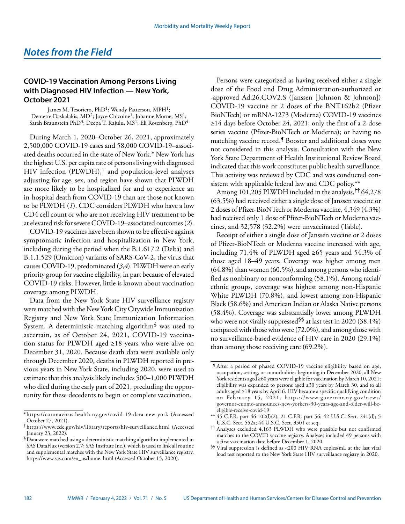## **COVID-19 Vaccination Among Persons Living with Diagnosed HIV Infection — New York, October 2021**

James M. Tesoriero, PhD<sup>1</sup>; Wendy Patterson, MPH<sup>1</sup>; Demetre Daskalakis, MD<sup>2</sup>; Joyce Chicoine<sup>1</sup>; Johanne Morne, MS<sup>1</sup>; Sarah Braunstein PhD<sup>3</sup>; Deepa T. Rajulu, MS<sup>1</sup>; Eli Rosenberg, PhD<sup>4</sup>

During March 1, 2020–October 26, 2021, approximately 2,500,000 COVID-19 cases and 58,000 COVID-19–associated deaths occurred in the state of New York.\* New York has the highest U.S. per capita rate of persons living with diagnosed HIV infection (PLWDH), $\dagger$  and population-level analyses adjusting for age, sex, and region have shown that PLWDH are more likely to be hospitalized for and to experience an in-hospital death from COVID-19 than are those not known to be PLWDH (*1*). CDC considers PLWDH who have a low CD4 cell count or who are not receiving HIV treatment to be at elevated risk for severe COVID-19–associated outcomes (*2*).

COVID-19 vaccines have been shown to be effective against symptomatic infection and hospitalization in New York, including during the period when the B.1.617.2 (Delta) and B.1.1.529 (Omicron) variants of SARS-CoV-2, the virus that causes COVID-19, predominated (*3*,*4*). PLWDH were an early priority group for vaccine eligibility, in part because of elevated COVID-19 risks. However, little is known about vaccination coverage among PLWDH.

Data from the New York State HIV surveillance registry were matched with the New York City Citywide Immunization Registry and New York State Immunization Information System. A deterministic matching algorithm§ was used to ascertain, as of October 24, 2021, COVID-19 vaccination status for PLWDH aged ≥18 years who were alive on December 31, 2020. Because death data were available only through December 2020, deaths in PLWDH reported in previous years in New York State, including 2020, were used to estimate that this analysis likely includes 500–1,000 PLWDH who died during the early part of 2021, precluding the opportunity for these decedents to begin or complete vaccination.

Persons were categorized as having received either a single dose of the Food and Drug Administration-authorized or -approved Ad.26.COV2.S (Janssen [Johnson & Johnson]) COVID-19 vaccine or 2 doses of the BNT162b2 (Pfizer BioNTech) or mRNA-1273 (Moderna) COVID-19 vaccines ≥14 days before October 24, 2021; only the first of a 2-dose series vaccine (Pfizer-BioNTech or Moderna); or having no matching vaccine record.<sup>5</sup> Booster and additional doses were not considered in this analysis. Consultation with the New York State Department of Health Institutional Review Board indicated that this work constitutes public health surveillance. This activity was reviewed by CDC and was conducted consistent with applicable federal law and CDC policy.\*\*

Among 101,205 PLWDH included in the analysis,†† 64,278 (63.5%) had received either a single dose of Janssen vaccine or 2 doses of Pfizer-BioNTech or Moderna vaccine, 4,349 (4.3%) had received only 1 dose of Pfizer-BioNTech or Moderna vaccines, and 32,578 (32.2%) were unvaccinated (Table).

Receipt of either a single dose of Janssen vaccine or 2 doses of Pfizer-BioNTech or Moderna vaccine increased with age, including 71.4% of PLWDH aged ≥65 years and 54.3% of those aged 18–49 years. Coverage was higher among men (64.8%) than women (60.5%), and among persons who identified as nonbinary or nonconforming (58.1%). Among racial/ ethnic groups, coverage was highest among non-Hispanic White PLWDH (70.8%), and lowest among non-Hispanic Black (58.6%) and American Indian or Alaska Native persons (58.4%). Coverage was substantially lower among PLWDH who were not virally suppressed<sup>\§§</sup> at last test in 2020 (38.1%) compared with those who were (72.0%), and among those with no surveillance-based evidence of HIV care in 2020 (29.1%) than among those receiving care (69.2%).

<sup>\*</sup> <https://coronavirus.health.ny.gov/covid-19-data-new-york>(Accessed October 27, 2021).

<sup>†</sup> <https://www.cdc.gov/hiv/library/reports/hiv-surveillance.html>(Accessed January 23, 2022).

 $\overleftarrow{\$}$  Data were matched using a deterministic matching algorithm implemented in SAS DataFlux (version 2.7; SAS Institute Inc.), which is used to link all routine and supplemental matches with the New York State HIV surveillance registry. [https://www.sas.com/en\\_us/home. html](https://www.sas.com/en_us/home.html) (Accessed October 15, 2020).

<sup>¶</sup> After a period of phased COVID-19 vaccine eligibility based on age, occupation, setting, or comorbidities beginning in December 2020, all New York residents aged ≥60 years were eligible for vaccination by March 10, 2021; eligibility was expanded to persons aged ≥30 years by March 30, and to all adults aged ≥18 years by April 6. HIV became a specific qualifying condition on February 15, 2021. [https://www.governor.ny.gov/news/](https://www.governor.ny.gov/news/governor-cuomo-announces-new-yorkers-30-years-age-and-older-will-be-eligible-receive-covid-19) [governor-cuomo-announces-new-yorkers-30-years-age-and-older-will-be](https://www.governor.ny.gov/news/governor-cuomo-announces-new-yorkers-30-years-age-and-older-will-be-eligible-receive-covid-19)[eligible-receive-covid-19](https://www.governor.ny.gov/news/governor-cuomo-announces-new-yorkers-30-years-age-and-older-will-be-eligible-receive-covid-19)

<sup>\*\*</sup> 45 C.F.R. part 46.102(l)(2), 21 C.F.R. part 56; 42 U.S.C. Sect. 241(d); 5 U.S.C. Sect. 552a; 44 U.S.C. Sect. 3501 et seq.

<sup>††</sup> Analyses excluded 4,163 PLWDH who were possible but not confirmed matches to the COVID vaccine registry. Analyses included 49 persons with a first vaccination date before December 1, 2020.

<sup>§§</sup> Viral suppression is defined as <200 HIV RNA copies/mL at the last viral load test reported to the New York State HIV surveillance registry in 2020.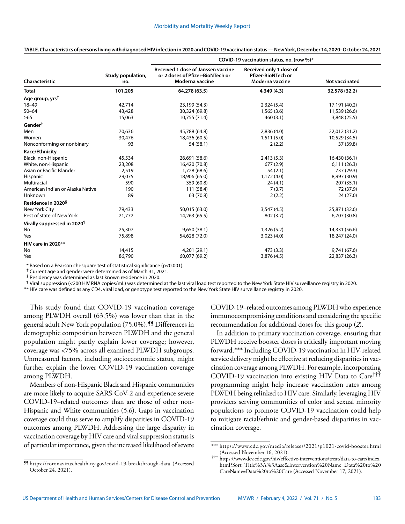| Characteristic                   | Study population,<br>no. | COVID-19 vaccination status, no. (row %)                                                  |                                                                         |                       |
|----------------------------------|--------------------------|-------------------------------------------------------------------------------------------|-------------------------------------------------------------------------|-----------------------|
|                                  |                          | Received 1 dose of Janssen vaccine<br>or 2 doses of Pfizer-BioNTech or<br>Moderna vaccine | Received only 1 dose of<br><b>Pfizer-BioNTech or</b><br>Moderna vaccine | <b>Not vaccinated</b> |
| Total                            | 101,205                  | 64,278 (63.5)                                                                             | 4,349 (4.3)                                                             | 32,578 (32.2)         |
| Age group, yrs <sup>†</sup>      |                          |                                                                                           |                                                                         |                       |
| $18 - 49$                        | 42,714                   | 23,199 (54.3)                                                                             | 2,324(5.4)                                                              | 17,191 (40.2)         |
| $50 - 64$                        | 43,428                   | 30,324 (69.8)                                                                             | 1,565(3.6)                                                              | 11,539 (26.6)         |
| ≥65                              | 15,063                   | 10,755 (71.4)                                                                             | 460(3.1)                                                                | 3,848 (25.5)          |
| Gender $^\dagger$                |                          |                                                                                           |                                                                         |                       |
| Men                              | 70,636                   | 45,788 (64.8)                                                                             | 2,836(4.0)                                                              | 22,012 (31.2)         |
| Women                            | 30,476                   | 18,436 (60.5)                                                                             | 1,511(5.0)                                                              | 10,529 (34.5)         |
| Nonconforming or nonbinary       | 93                       | 54 (58.1)                                                                                 | 2(2.2)                                                                  | 37 (39.8)             |
| Race/Ethnicity                   |                          |                                                                                           |                                                                         |                       |
| Black, non-Hispanic              | 45,534                   | 26,691 (58.6)                                                                             | 2,413(5.3)                                                              | 16,430 (36.1)         |
| White, non-Hispanic              | 23,208                   | 16,420 (70.8)                                                                             | 677 (2.9)                                                               | 6,111(26.3)           |
| Asian or Pacific Islander        | 2,519                    | 1,728 (68.6)                                                                              | 54(2.1)                                                                 | 737 (29.3)            |
| Hispanic                         | 29,075                   | 18,906 (65.0)                                                                             | 1,172(4.0)                                                              | 8,997 (30.9)          |
| Multiracial                      | 590                      | 359 (60.8)                                                                                | 24(4.1)                                                                 | 207 (35.1)            |
| American Indian or Alaska Native | 190                      | 111 (58.4)                                                                                | 7(3.7)                                                                  | 72 (37.9)             |
| Unknown                          | 89                       | 63 (70.8)                                                                                 | 2(2.2)                                                                  | 24 (27.0)             |
| Residence in 2020 <sup>§</sup>   |                          |                                                                                           |                                                                         |                       |
| New York City                    | 79,433                   | 50,015 (63.0)                                                                             | 3,547(4.5)                                                              | 25,871 (32.6)         |
| Rest of state of New York        | 21,772                   | 14,263 (65.5)                                                                             | 802 (3.7)                                                               | 6,707 (30.8)          |
| Virally suppressed in 2020¶      |                          |                                                                                           |                                                                         |                       |
| No                               | 25,307                   | 9,650(38.1)                                                                               | 1,326(5.2)                                                              | 14,331 (56.6)         |
| Yes                              | 75,898                   | 54,628 (72.0)                                                                             | 3,023(4.0)                                                              | 18,247 (24.0)         |
| HIV care in 2020**               |                          |                                                                                           |                                                                         |                       |
| No                               | 14,415                   | 4,201 (29.1)                                                                              | 473(3.3)                                                                | 9,741 (67.6)          |
| Yes                              | 86,790                   | 60,077 (69.2)                                                                             | 3,876 (4.5)                                                             | 22,837 (26.3)         |

**TABLE. Characteristics of persons living with diagnosed HIV infection in 2020 and COVID-19 vaccination status — New York, December 14, 2020–October 24, 2021**

**COVID-19 vaccination status, no. (row %)\***

\* Based on a Pearson chi-square test of statistical significance (p<0.001).

† Current age and gender were determined as of March 31, 2021.

§ Residency was determined as last known residence in 2020.

¶ Viral suppression (<200 HIV RNA copies/mL) was determined at the last viral load test reported to the New York State HIV surveillance registry in 2020.

\*\* HIV care was defined as any CD4, viral load, or genotype test reported to the New York State HIV surveillance registry in 2020.

This study found that COVID-19 vaccination coverage among PLWDH overall (63.5%) was lower than that in the general adult New York population (75.0%).<sup>11</sup> Differences in demographic composition between PLWDH and the general population might partly explain lower coverage; however, coverage was <75% across all examined PLWDH subgroups. Unmeasured factors, including socioeconomic status, might further explain the lower COVID-19 vaccination coverage among PLWDH.

Members of non-Hispanic Black and Hispanic communities are more likely to acquire SARS-CoV-2 and experience severe COVID-19–related outcomes than are those of other non-Hispanic and White communities (*5*,*6*). Gaps in vaccination coverage could thus serve to amplify disparities in COVID-19 outcomes among PLWDH. Addressing the large disparity in vaccination coverage by HIV care and viral suppression status is of particular importance, given the increased likelihood of severe COVID-19–related outcomes among PLWDH who experience immunocompromising conditions and considering the specific recommendation for additional doses for this group (*2*).

In addition to primary vaccination coverage, ensuring that PLWDH receive booster doses is critically important moving forward.\*\*\* Including COVID-19 vaccination in HIV-related service delivery might be effective at reducing disparities in vaccination coverage among PLWDH. For example, incorporating COVID-19 vaccination into existing HIV Data to Care††† programming might help increase vaccination rates among PLWDH being relinked to HIV care. Similarly, leveraging HIV providers serving communities of color and sexual minority populations to promote COVID-19 vaccination could help to mitigate racial/ethnic and gender-based disparities in vaccination coverage.

<sup>\*\*\*</sup> <https://www.cdc.gov/media/releases/2021/p1021-covid-booster.html> (Accessed November 16, 2021).

<sup>†††</sup> [https://wwwdev.cdc.gov/hiv/effective-interventions/treat/data-to-care/index.](https://wwwdev.cdc.gov/hiv/effective-interventions/treat/data-to-care/index.html?Sort=Title%3A%3Aasc&Intervention%20Name=Data%20to%20CareName=Data%20to%20Care) [html?Sort=Title%3A%3Aasc&Intervention%20Name=Data%20to%20](https://wwwdev.cdc.gov/hiv/effective-interventions/treat/data-to-care/index.html?Sort=Title%3A%3Aasc&Intervention%20Name=Data%20to%20CareName=Data%20to%20Care) [CareName=Data%20to%20Care](https://wwwdev.cdc.gov/hiv/effective-interventions/treat/data-to-care/index.html?Sort=Title%3A%3Aasc&Intervention%20Name=Data%20to%20CareName=Data%20to%20Care) (Accessed November 17, 2021).

<sup>¶¶</sup> <https://coronavirus.health.ny.gov/covid-19-breakthrough-data>(Accessed October 24, 2021).